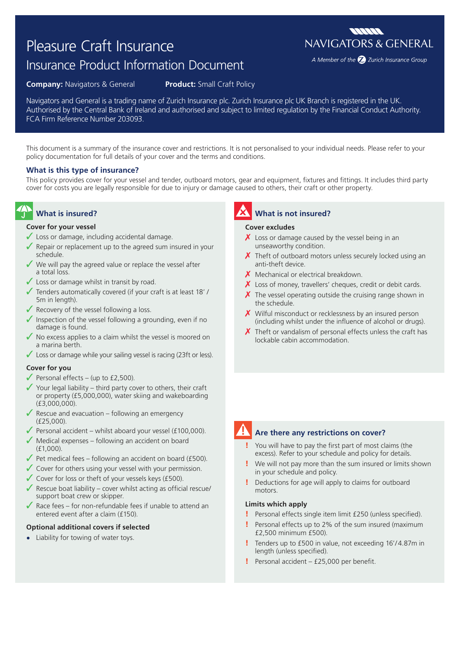# Pleasure Craft Insurance

# Insurance Product Information Document

**Company:** Navigators & General **Product:** Small Craft Policy

Navigators and General is a trading name of Zurich Insurance plc. Zurich Insurance plc UK Branch is registered in the UK. Authorised by the Central Bank of Ireland and authorised and subject to limited regulation by the Financial Conduct Authority. FCA Firm Reference Number 203093.

This document is a summary of the insurance cover and restrictions. It is not personalised to your individual needs. Please refer to your policy documentation for full details of your cover and the terms and conditions.

#### **What is this type of insurance?**

This policy provides cover for your vessel and tender, outboard motors, gear and equipment, fixtures and fittings. It includes third party cover for costs you are legally responsible for due to injury or damage caused to others, their craft or other property.

## **What is insured?**

#### **Cover for your vessel**

- ✓ Loss or damage, including accidental damage.
- $\sqrt{\ }$  Repair or replacement up to the agreed sum insured in your schedule.
- $\checkmark$  We will pay the agreed value or replace the vessel after a total loss.
- $\checkmark$  Loss or damage whilst in transit by road.
- Tenders automatically covered (if your craft is at least 18' / 5m in length).
- $\sqrt{\ }$  Recovery of the vessel following a loss.
- $\sqrt{\ }$  Inspection of the vessel following a grounding, even if no damage is found.
- $\sqrt{\ }$  No excess applies to a claim whilst the vessel is moored on a marina berth.
- ◆ Loss or damage while your sailing vessel is racing (23ft or less).

#### **Cover for you**

- $\sqrt{\frac{P}{P}}$  Personal effects (up to £2,500).
- $\checkmark$  Your legal liability third party cover to others, their craft or property (£5,000,000), water skiing and wakeboarding (£3,000,000).
- $\sqrt{\ }$  Rescue and evacuation following an emergency (£25,000).
- $\sqrt{\frac{P_{\text{P}}}{P_{\text{P}}}}$  Personal accident whilst aboard your vessel (£100,000).
- $\sqrt{\ }$  Medical expenses following an accident on board (£1,000).
- $\sqrt{\ }$  Pet medical fees following an accident on board (£500).
- ◆ Cover for others using your vessel with your permission.
- ✓ Cover for loss or theft of your vessels keys (£500).
- $\sqrt{\ }$  Rescue boat liability cover whilst acting as official rescue/ support boat crew or skipper.
- $\sqrt{\ }$  Race fees for non-refundable fees if unable to attend an entered event after a claim (£150).

#### **Optional additional covers if selected**

**•** Liability for towing of water toys.

## **What is not insured?**

#### **Cover excludes**

- $\chi$  Loss or damage caused by the vessel being in an unseaworthy condition.
- $\chi$  Theft of outboard motors unless securely locked using an anti-theft device.
- $X$  Mechanical or electrical breakdown.
- $\chi$  Loss of money, travellers' cheques, credit or debit cards.
- $\boldsymbol{X}$  The vessel operating outside the cruising range shown in the schedule.
- $\boldsymbol{X}$  Wilful misconduct or recklessness by an insured person (including whilst under the influence of alcohol or drugs).
- $\chi$  Theft or vandalism of personal effects unless the craft has lockable cabin accommodation.



#### **Are there any restrictions on cover?**

- You will have to pay the first part of most claims (the excess). Refer to your schedule and policy for details.
- ! We will not pay more than the sum insured or limits shown in your schedule and policy.
- ! Deductions for age will apply to claims for outboard motors.

#### **Limits which apply**

- Personal effects single item limit £250 (unless specified).
- ! Personal effects up to 2% of the sum insured (maximum £2,500 minimum £500).
- Tenders up to £500 in value, not exceeding 16'/4.87m in length (unless specified).
- Personal accident £25,000 per benefit.

**MANA NAVIGATORS & GENERAL** 

A Member of the 2 Zurich Insurance Group